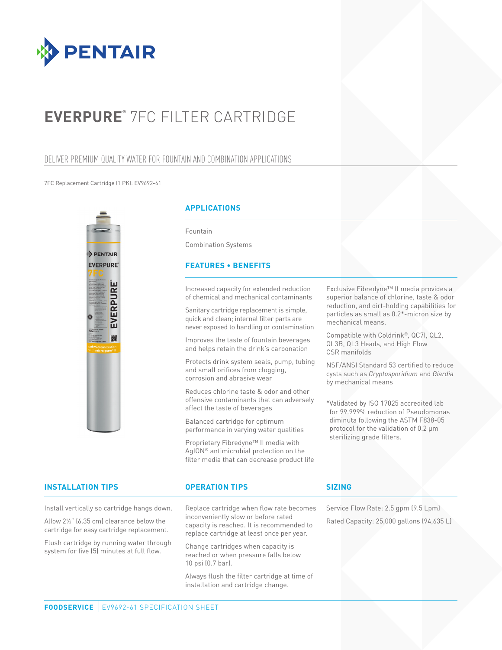

# **EVERPURE®** 7FC FILTER CARTRIDGE

## DELIVER PREMIUM QUALITY WATER FOR FOUNTAIN AND COMBINATION APPLICATIONS

#### 7FC Replacement Cartridge (1 PK): EV9692-61



### **APPLICATIONS**

Fountain

Combination Systems

#### **FEATURES • BENEFITS**

Increased capacity for extended reduction of chemical and mechanical contaminants

Sanitary cartridge replacement is simple, quick and clean; internal filter parts are never exposed to handling or contamination

Improves the taste of fountain beverages and helps retain the drink's carbonation

Protects drink system seals, pump, tubing and small orifices from clogging, corrosion and abrasive wear

Reduces chlorine taste & odor and other offensive contaminants that can adversely affect the taste of beverages

Balanced cartridge for optimum performance in varying water qualities

Proprietary Fibredyne™ II media with AgION® antimicrobial protection on the filter media that can decrease product life Exclusive Fibredyne™ II media provides a superior balance of chlorine, taste & odor reduction, and dirt-holding capabilities for particles as small as 0.2\*-micron size by mechanical means.

Compatible with Coldrink®, QC7I, QL2, QL3B, QL3 Heads, and High Flow CSR manifolds

NSF/ANSI Standard 53 certified to reduce cysts such as *Cryptosporidium* and *Giardia*  by mechanical means

\*Validated by ISO 17025 accredited lab for 99.999% reduction of Pseudomonas diminuta following the ASTM F838-05 protocol for the validation of 0.2 μm sterilizing grade filters.

### **INSTALLATION TIPS OPERATION TIPS**

Replace cartridge when flow rate becomes inconveniently slow or before rated capacity is reached. It is recommended to replace cartridge at least once per year.

Change cartridges when capacity is reached or when pressure falls below 10 psi (0.7 bar).

Always flush the filter cartridge at time of installation and cartridge change.

### **SIZING**

Service Flow Rate: 2.5 gpm (9.5 Lpm) Rated Capacity: 25,000 gallons (94,635 L)

# Install vertically so cartridge hangs down.

Allow 21 ⁄2" (6.35 cm) clearance below the cartridge for easy cartridge replacement.

Flush cartridge by running water through system for five (5) minutes at full flow.